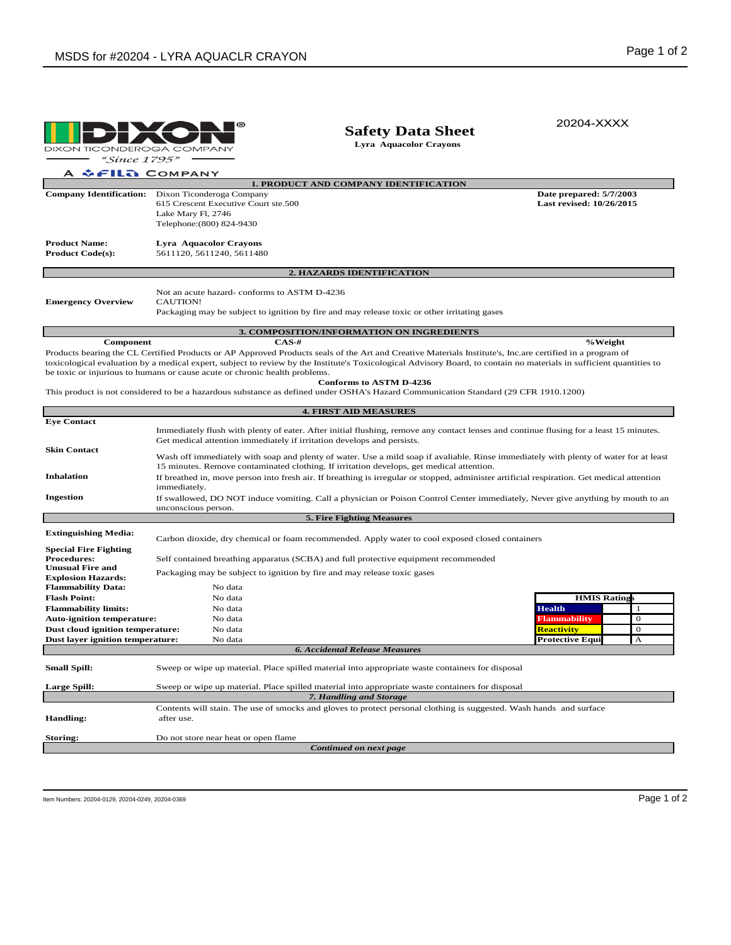|                                                                                                                                                                                                                                                                                                                                                                                                                                                                                                                                                                                                                                    |                                                                                                                                                                                                                                                                                                                                                           | <b>Safety Data Sheet</b><br>Lyra Aquacolor Crayons | 20204-XXXX                                                |  |  |  |  |  |  |
|------------------------------------------------------------------------------------------------------------------------------------------------------------------------------------------------------------------------------------------------------------------------------------------------------------------------------------------------------------------------------------------------------------------------------------------------------------------------------------------------------------------------------------------------------------------------------------------------------------------------------------|-----------------------------------------------------------------------------------------------------------------------------------------------------------------------------------------------------------------------------------------------------------------------------------------------------------------------------------------------------------|----------------------------------------------------|-----------------------------------------------------------|--|--|--|--|--|--|
| DIXON TICONDEROGA COMPANY<br><i>"Since 1795"</i>                                                                                                                                                                                                                                                                                                                                                                                                                                                                                                                                                                                   |                                                                                                                                                                                                                                                                                                                                                           |                                                    |                                                           |  |  |  |  |  |  |
| A & FILA COMPANY                                                                                                                                                                                                                                                                                                                                                                                                                                                                                                                                                                                                                   |                                                                                                                                                                                                                                                                                                                                                           |                                                    |                                                           |  |  |  |  |  |  |
| 1. PRODUCT AND COMPANY IDENTIFICATION                                                                                                                                                                                                                                                                                                                                                                                                                                                                                                                                                                                              |                                                                                                                                                                                                                                                                                                                                                           |                                                    |                                                           |  |  |  |  |  |  |
|                                                                                                                                                                                                                                                                                                                                                                                                                                                                                                                                                                                                                                    | Company Identification: Dixon Ticonderoga Company<br>615 Crescent Executive Court ste.500<br>Lake Mary Fl, 2746<br>Telephone: (800) 824-9430                                                                                                                                                                                                              |                                                    | Date prepared: 5/7/2003<br>Last revised: 10/26/2015       |  |  |  |  |  |  |
| <b>Product Name:</b><br><b>Product Code(s):</b>                                                                                                                                                                                                                                                                                                                                                                                                                                                                                                                                                                                    | Lyra Aquacolor Crayons<br>5611120, 5611240, 5611480                                                                                                                                                                                                                                                                                                       |                                                    |                                                           |  |  |  |  |  |  |
| 2. HAZARDS IDENTIFICATION                                                                                                                                                                                                                                                                                                                                                                                                                                                                                                                                                                                                          |                                                                                                                                                                                                                                                                                                                                                           |                                                    |                                                           |  |  |  |  |  |  |
| <b>Emergency Overview</b>                                                                                                                                                                                                                                                                                                                                                                                                                                                                                                                                                                                                          | Not an acute hazard-conforms to ASTM D-4236<br><b>CAUTION!</b><br>Packaging may be subject to ignition by fire and may release toxic or other irritating gases                                                                                                                                                                                            |                                                    |                                                           |  |  |  |  |  |  |
|                                                                                                                                                                                                                                                                                                                                                                                                                                                                                                                                                                                                                                    | 3. COMPOSITION/INFORMATION ON INGREDIENTS                                                                                                                                                                                                                                                                                                                 |                                                    |                                                           |  |  |  |  |  |  |
| $CAS-#$<br>%Weight<br><b>Component</b><br>Products bearing the CL Certified Products or AP Approved Products seals of the Art and Creative Materials Institute's, Inc.are certified in a program of<br>toxicological evaluation by a medical expert, subject to review by the Institute's Toxicological Advisory Board, to contain no materials in sufficient quantities to<br>be toxic or injurious to humans or cause acute or chronic health problems.<br><b>Conforms to ASTM D-4236</b><br>This product is not considered to be a hazardous substance as defined under OSHA's Hazard Communication Standard (29 CFR 1910.1200) |                                                                                                                                                                                                                                                                                                                                                           |                                                    |                                                           |  |  |  |  |  |  |
|                                                                                                                                                                                                                                                                                                                                                                                                                                                                                                                                                                                                                                    |                                                                                                                                                                                                                                                                                                                                                           |                                                    |                                                           |  |  |  |  |  |  |
|                                                                                                                                                                                                                                                                                                                                                                                                                                                                                                                                                                                                                                    | <b>4. FIRST AID MEASURES</b>                                                                                                                                                                                                                                                                                                                              |                                                    |                                                           |  |  |  |  |  |  |
| <b>Eye Contact</b>                                                                                                                                                                                                                                                                                                                                                                                                                                                                                                                                                                                                                 |                                                                                                                                                                                                                                                                                                                                                           |                                                    |                                                           |  |  |  |  |  |  |
| <b>Skin Contact</b>                                                                                                                                                                                                                                                                                                                                                                                                                                                                                                                                                                                                                | Immediately flush with plenty of eater. After initial flushing, remove any contact lenses and continue flusing for a least 15 minutes.<br>Get medical attention immediately if irritation develops and persists.<br>Wash off immediately with soap and plenty of water. Use a mild soap if avaliable. Rinse immediately with plenty of water for at least |                                                    |                                                           |  |  |  |  |  |  |
| <b>Inhalation</b>                                                                                                                                                                                                                                                                                                                                                                                                                                                                                                                                                                                                                  | 15 minutes. Remove contaminated clothing. If irritation develops, get medical attention.<br>If breathed in, move person into fresh air. If breathing is irregular or stopped, administer artificial respiration. Get medical attention<br>immediately.                                                                                                    |                                                    |                                                           |  |  |  |  |  |  |
| <b>Ingestion</b>                                                                                                                                                                                                                                                                                                                                                                                                                                                                                                                                                                                                                   | If swallowed, DO NOT induce vomiting. Call a physician or Poison Control Center immediately, Never give anything by mouth to an<br>unconscious person.                                                                                                                                                                                                    |                                                    |                                                           |  |  |  |  |  |  |
|                                                                                                                                                                                                                                                                                                                                                                                                                                                                                                                                                                                                                                    | <b>5. Fire Fighting Measures</b>                                                                                                                                                                                                                                                                                                                          |                                                    |                                                           |  |  |  |  |  |  |
| <b>Extinguishing Media:</b>                                                                                                                                                                                                                                                                                                                                                                                                                                                                                                                                                                                                        | Carbon dioxide, dry chemical or foam recommended. Apply water to cool exposed closed containers                                                                                                                                                                                                                                                           |                                                    |                                                           |  |  |  |  |  |  |
| <b>Special Fire Fighting</b><br><b>Procedures:</b><br><b>Unusual Fire and</b><br><b>Explosion Hazards:</b>                                                                                                                                                                                                                                                                                                                                                                                                                                                                                                                         | Self contained breathing apparatus (SCBA) and full protective equipment recommended<br>Packaging may be subject to ignition by fire and may release toxic gases                                                                                                                                                                                           |                                                    |                                                           |  |  |  |  |  |  |
| <b>Flammability Data:</b>                                                                                                                                                                                                                                                                                                                                                                                                                                                                                                                                                                                                          | No data                                                                                                                                                                                                                                                                                                                                                   |                                                    |                                                           |  |  |  |  |  |  |
| <b>Flash Point:</b>                                                                                                                                                                                                                                                                                                                                                                                                                                                                                                                                                                                                                | No data                                                                                                                                                                                                                                                                                                                                                   |                                                    | <b>HMIS Ratings</b>                                       |  |  |  |  |  |  |
| <b>Flammability limits:</b>                                                                                                                                                                                                                                                                                                                                                                                                                                                                                                                                                                                                        | No data                                                                                                                                                                                                                                                                                                                                                   |                                                    | <b>Health</b><br>-1                                       |  |  |  |  |  |  |
| <b>Auto-ignition temperature:</b>                                                                                                                                                                                                                                                                                                                                                                                                                                                                                                                                                                                                  | No data                                                                                                                                                                                                                                                                                                                                                   |                                                    | $\theta$<br>Flammability                                  |  |  |  |  |  |  |
| Dust cloud ignition temperature:                                                                                                                                                                                                                                                                                                                                                                                                                                                                                                                                                                                                   | No data                                                                                                                                                                                                                                                                                                                                                   |                                                    | $\mathbf{0}$<br>Reactivity<br><b>Protective Equi</b><br>A |  |  |  |  |  |  |
| Dust layer ignition temperature:                                                                                                                                                                                                                                                                                                                                                                                                                                                                                                                                                                                                   | No data<br><b>6. Accidental Release Measures</b>                                                                                                                                                                                                                                                                                                          |                                                    |                                                           |  |  |  |  |  |  |
|                                                                                                                                                                                                                                                                                                                                                                                                                                                                                                                                                                                                                                    |                                                                                                                                                                                                                                                                                                                                                           |                                                    |                                                           |  |  |  |  |  |  |
| <b>Small Spill:</b>                                                                                                                                                                                                                                                                                                                                                                                                                                                                                                                                                                                                                | Sweep or wipe up material. Place spilled material into appropriate waste containers for disposal                                                                                                                                                                                                                                                          |                                                    |                                                           |  |  |  |  |  |  |
| Large Spill:                                                                                                                                                                                                                                                                                                                                                                                                                                                                                                                                                                                                                       | Sweep or wipe up material. Place spilled material into appropriate waste containers for disposal<br>7. Handling and Storage                                                                                                                                                                                                                               |                                                    |                                                           |  |  |  |  |  |  |
| Handling:                                                                                                                                                                                                                                                                                                                                                                                                                                                                                                                                                                                                                          | Contents will stain. The use of smocks and gloves to protect personal clothing is suggested. Wash hands and surface<br>after use.                                                                                                                                                                                                                         |                                                    |                                                           |  |  |  |  |  |  |
| Storing:                                                                                                                                                                                                                                                                                                                                                                                                                                                                                                                                                                                                                           | Do not store near heat or open flame                                                                                                                                                                                                                                                                                                                      |                                                    |                                                           |  |  |  |  |  |  |
| Continued on next page                                                                                                                                                                                                                                                                                                                                                                                                                                                                                                                                                                                                             |                                                                                                                                                                                                                                                                                                                                                           |                                                    |                                                           |  |  |  |  |  |  |